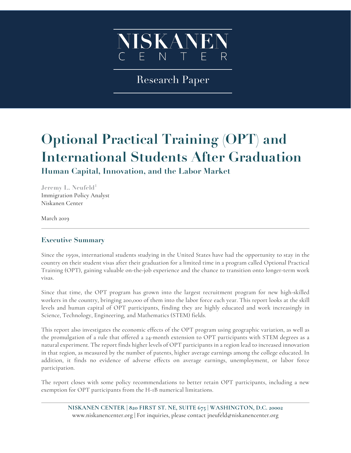

Research Paper

# **Optional Practical Training (OPT) and International Students After Graduation**

**Human Capital, Innovation, and the Labor Market**

**Jeremy L. Neufeld<sup>1</sup>** Immigration Policy Analyst Niskanen Center

March 2019

# **Executive Summary**

Since the 1950s, international students studying in the United States have had the opportunity to stay in the country on their student visas after their graduation for a limited time in a program called Optional Practical Training (OPT), gaining valuable on-the-job experience and the chance to transition onto longer-term work visas.

Since that time, the OPT program has grown into the largest recruitment program for new high-skilled workers in the country, bringing 200,000 of them into the labor force each year. This report looks at the skill levels and human capital of OPT participants, finding they are highly educated and work increasingly in Science, Technology, Engineering, and Mathematics (STEM) fields.

This report also investigates the economic effects of the OPT program using geographic variation, as well as the promulgation of a rule that offered a 24-month extension to OPT participants with STEM degrees as a natural experiment. The report finds higher levels of OPT participants in a region lead to increased innovation in that region, as measured by the number of patents, higher average earnings among the college educated. In addition, it finds no evidence of adverse effects on average earnings, unemployment, or labor force participation.

The report closes with some policy recommendations to better retain OPT participants, including a new exemption for OPT participants from the H-1B numerical limitations.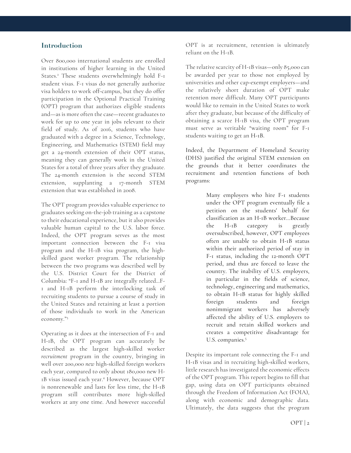## **Introduction**

Over 800,000 international students are enrolled in institutions of higher learning in the United States.<sup>2</sup> These students overwhelmingly hold F-1 student visas. F-1 visas do not generally authorize visa holders to work off-campus, but they do offer participation in the Optional Practical Training (OPT) program that authorizes eligible students and—as is more often the case—recent graduates to work for up to one year in jobs relevant to their field of study. As of 2016, students who have graduated with a degree in a Science, Technology, Engineering, and Mathematics (STEM) field may get a 24-month extension of their OPT status, meaning they can generally work in the United States for a total of three years after they graduate. The 24-month extension is the second STEM extension, supplanting a 17-month STEM extension that was established in 2008.

The OPT program provides valuable experience to graduates seeking on-the-job training as a capstone to their educational experience, but it also provides valuable human capital to the U.S. labor force. Indeed, the OPT program serves as the most important connection between the F-1 visa program and the H-1B visa program, the highskilled guest worker program. The relationship between the two programs was described well by the U.S. District Court for the District of Columbia: "F-1 and H-1B are integrally related...F-1 and H-1B perform the interlocking task of recruiting students to pursue a course of study in the United States and retaining at least a portion of those individuals to work in the American economy."3

Operating as it does at the intersection of F-1 and H-1B, the OPT program can accurately be described as the largest high-skilled worker *recruitment* program in the country, bringing in well over 200,000 *new* high-skilled foreign workers each year, compared to only about 180,000 new H-1B visas issued each year.4 However, because OPT is nonrenewable and lasts for less time, the H-1B program still contributes more high-skilled workers at any one time. And however successful OPT is at recruitment, retention is ultimately reliant on the H-1B.

The relative scarcity of H-1B visas—only 85,000 can be awarded per year to those not employed by universities and other cap-exempt employers—and the relatively short duration of OPT make retention more difficult. Many OPT participants would like to remain in the United States to work after they graduate, but because of the difficulty of obtaining a scarce H-1B visa, the OPT program must serve as veritable "waiting room" for F-1 students waiting to get an H-1B.

Indeed, the Department of Homeland Security (DHS) justified the original STEM extension on the grounds that it better coordinates the recruitment and retention functions of both programs:

> Many employers who hire F-1 students under the OPT program eventually file a petition on the students' behalf for classification as an H-1B worker…Because the H-1B category is greatly oversubscribed, however, OPT employees often are unable to obtain H-1B status within their authorized period of stay in F-1 status, including the 12-month OPT period, and thus are forced to leave the country. The inability of U.S. employers, in particular in the fields of science, technology, engineering and mathematics, to obtain H-1B status for highly skilled foreign students and foreign nonimmigrant workers has adversely affected the ability of U.S. employers to recruit and retain skilled workers and creates a competitive disadvantage for U.S. companies.<sup>5</sup>

Despite its important role connecting the F-1 and H-1B visas and in recruiting high-skilled workers, little research has investigated the economic effects of the OPT program. This report begins to fill that gap, using data on OPT participants obtained through the Freedom of Information Act (FOIA), along with economic and demographic data. Ultimately, the data suggests that the program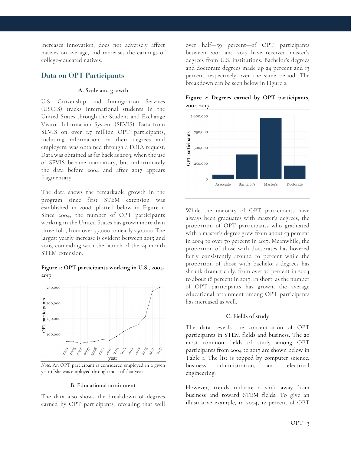increases innovation, does not adversely affect natives on average, and increases the earnings of college-educated natives.

### **Data on OPT Participants**

#### **A. Scale and growth**

U.S. Citizenship and Immigration Services (USCIS) tracks international students in the United States through the Student and Exchange Visitor Information System (SEVIS). Data from SEVIS on over 1.7 million OPT participants, including information on their degrees and employers, was obtained through a FOIA request. Data was obtained as far back as 2003, when the use of SEVIS became mandatory, but unfortunately the data before 2004 and after 2017 appears fragmentary.

The data shows the remarkable growth in the program since first STEM extension was established in 2008, plotted below in Figure 1. Since 2004, the number of OPT participants working in the United States has grown more than three-fold, from over 77,000 to nearly 250,000. The largest yearly increase is evident between 2015 and 2016, coinciding with the launch of the 24-month STEM extension.

#### **Figure 1: OPT participants working in U.S., 2004- 2017**



*Note*: An OPT participant is considered employed in a given year if she was employed through most of that year.

#### **B. Educational attainment**

The data also shows the breakdown of degrees earned by OPT participants, revealing that well over half—59 percent—of OPT participants between 2004 and 2017 have received master's degrees from U.S. institutions. Bachelor's degrees and doctorate degrees made up 24 percent and 13 percent respectively over the same period. The breakdown can be seen below in Figure 2.



**Figure 2: Degrees earned by OPT participants, 2004-2017**

While the majority of OPT participants have always been graduates with master's degrees, the proportion of OPT participants who graduated with a master's degree grew from about 53 percent in 2004 to over 70 percent in 2017. Meanwhile, the proportion of those with doctorates has hovered fairly consistently around 10 percent while the proportion of those with bachelor's degrees has shrunk dramatically, from over 30 percent in 2004 to about 18 percent in 2017. In short, as the number of OPT participants has grown, the average educational attainment among OPT participants has increased as well.

#### **C. Fields of study**

The data reveals the concentration of OPT participants in STEM fields and business. The 20 most common fields of study among OPT participants from 2004 to 2017 are shown below in Table 1. The list is topped by computer science, business administration, and electrical engineering.

However, trends indicate a shift away from business and toward STEM fields. To give an illustrative example, in 2004, 12 percent of OPT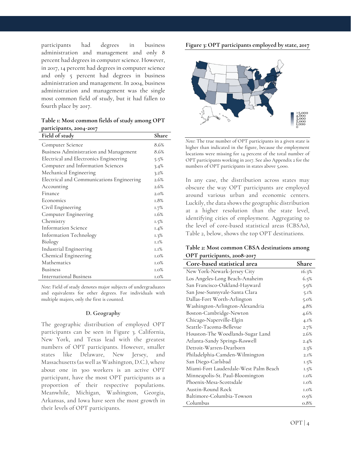participants had degrees in business administration and management and only 8 percent had degrees in computer science. However, in 2017, 14 percent had degrees in computer science and only 5 percent had degrees in business administration and management. In 2004, business administration and management was the single most common field of study, but it had fallen to fourth place by 2017.

**Table 1: Most common fields of study among OPT participants, 2004-2017**

| Field of study                            | Share   |
|-------------------------------------------|---------|
| Computer Science                          | 8.6%    |
| Business Administration and Management    | 8.6%    |
| Electrical and Electronics Engineering    | 5.5%    |
| Computer and Information Sciences         | 3.4%    |
| Mechanical Engineering                    | 3.2%    |
| Electrical and Communications Engineering | 2.6%    |
| Accounting                                | 2.6%    |
| Finance                                   | $2.0\%$ |
| Economics                                 | 1.8%    |
| Civil Engineering                         | 1.7%    |
| Computer Engineering                      | 1.6%    |
| Chemistry                                 | 1.5%    |
| <b>Information Science</b>                | $1.4\%$ |
| Information Technology                    | 1.3%    |
| Biology                                   | 1.1%    |
| Industrial Engineering                    | 1.1%    |
| Chemical Engineering                      | $1.0\%$ |
| Mathematics                               | 1.0%    |
| <b>Business</b>                           | $1.0\%$ |
| International Business                    | $1.0\%$ |

*Note*: Field of study denotes major subjects of undergraduates and equivalents for other degrees. For individuals with multiple majors, only the first is counted.

#### **D. Geography**

The geographic distribution of employed OPT participants can be seen in Figure 3. California, New York, and Texas lead with the greatest numbers of OPT participants. However, smaller states like Delaware, New Jersey, and Massachusetts (as well as Washington, D.C.), where about one in 300 workers is an active OPT participant, have the most OPT participants as a proportion of their respective populations. Meanwhile, Michigan, Washington, Georgia, Arkansas, and Iowa have seen the most growth in their levels of OPT participants.

**Figure 3: OPT participants employed by state, 2017**



*Note*: The true number of OPT participants in a given state is higher than indicated in the figure, because the employment locations were missing for 14 percent of the total number of OPT participants working in 2017. See also Appendix 2 for the numbers of OPT participants in states above 5,000.

In any case, the distribution across states may obscure the way OPT participants are employed around various urban and economic centers. Luckily, the data shows the geographic distribution at a higher resolution than the state level, identifying cities of employment. Aggregating to the level of core-based statistical areas (CBSAs), Table 2, below, shows the top OPT destinations.

| Table 2: Most common CBSA destinations among |  |
|----------------------------------------------|--|
| OPT participants, 2008-2017                  |  |

| Core-based statistical area           | Share   |
|---------------------------------------|---------|
| New York-Newark-Jersey City           | 16.3%   |
| Los Angeles-Long Beach-Anaheim        | 6.5%    |
| San Francisco-Oakland-Hayward         | 5.9%    |
| San Jose-Sunnyvale-Santa Clara        | 5.1%    |
| Dallas-Fort Worth-Arlington           | $5.0\%$ |
| Washington-Arlington-Alexandria       | 4.8%    |
| Boston-Cambridge-Newton               | 4.6%    |
| Chicago-Naperville-Elgin              | $4.1\%$ |
| Seattle-Tacoma-Bellevue               | 2.7%    |
| Houston-The Woodlands-Sugar Land      | 2.6%    |
| Atlanta-Sandy Springs-Roswell         | 2.4%    |
| Detroit-Warren-Dearborn               | 2.3%    |
| Philadelphia-Camden-Wilmington        | 2.1%    |
| San Diego-Carlsbad                    | $1.5\%$ |
| Miami-Fort Lauderdale-West Palm Beach | 1.5%    |
| Minneapolis-St. Paul-Bloomington      | $1.0\%$ |
| Phoenix-Mesa-Scottsdale               | $1.0\%$ |
| Austin-Round Rock                     | $1.0\%$ |
| Baltimore-Columbia-Towson             | $0.9\%$ |
| Columbus                              | 0.8%    |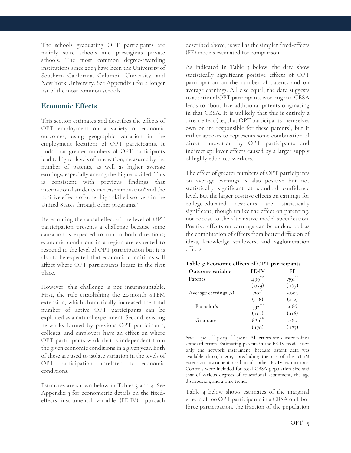The schools graduating OPT participants are mainly state schools and prestigious private schools. The most common degree-awarding institutions since 2003 have been the University of Southern California, Columbia University, and New York University. See Appendix 1 for a longer list of the most common schools.

## **Economic Effects**

This section estimates and describes the effects of OPT employment on a variety of economic outcomes, using geographic variation in the employment locations of OPT participants. It finds that greater numbers of OPT participants lead to higher levels of innovation, measured by the number of patents, as well as higher average earnings, especially among the higher-skilled. This is consistent with previous findings that international students increase innovation<sup>6</sup> and the positive effects of other high-skilled workers in the United States through other programs.7

Determining the causal effect of the level of OPT participation presents a challenge because some causation is expected to run in both directions; economic conditions in a region are expected to respond to the level of OPT participation but it is also to be expected that economic conditions will affect where OPT participants locate in the first place.

However, this challenge is not insurmountable. First, the rule establishing the 24-month STEM extension, which dramatically increased the total number of active OPT participants can be exploited as a natural experiment. Second, existing networks formed by previous OPT participants, colleges, and employers have an effect on where OPT participants work that is independent from the given economic conditions in a given year. Both of these are used to isolate variation in the levels of OPT participation unrelated to economic conditions.

Estimates are shown below in Tables 3 and 4. See Appendix 3 for econometric details on the fixedeffects instrumental variable (FE-IV) approach described above, as well as the simpler fixed-effects (FE) models estimated for comparison.

As indicated in Table 3 below, the data show statistically significant positive effects of OPT participation on the number of patents and on average earnings. All else equal, the data suggests 10 additional OPT participants working in a CBSA leads to about five additional patents originating in that CBSA. It is unlikely that this is entirely a direct effect (i.e., that OPT participants themselves own or are responsible for these patents), but it rather appears to represents some combination of direct innovation by OPT participants and indirect spillover effects caused by a larger supply of highly educated workers.

The effect of greater numbers of OPT participants on average earnings is also positive but not statistically significant at standard confidence level. But the larger positive effects on earnings for college-educated residents are statistically significant, though unlike the effect on patenting, not robust to the alternative model specification. Positive effects on earnings can be understood as the combination of effects from better diffusion of ideas, knowledge spillovers, and agglomeration effects.

| Table 3: Economic effects of OPT participants |
|-----------------------------------------------|
|-----------------------------------------------|

| Outcome variable      | FE-IV                 | FE          |
|-----------------------|-----------------------|-------------|
| Patents               | ***<br>.499           | 诗诗<br>.391  |
|                       | (.059)                | (.167)      |
| Average earnings (\$) | $.201$ <sup>*</sup>   | $-0.003$    |
|                       | (L118)                | $(L_{II2})$ |
| Bachelor's            | $-332$ <sup>***</sup> | .066        |
|                       | (.103)                | (0.116)     |
| Graduate              | $.680^{***}$          | .282        |
|                       | (.178)                | (183).      |

*Note*:  $*$  p<.0,  $*$  p<.05,  $*$  p<.05. All errors are cluster-robust standard errors. Estimating patents in the FE-IV model used only the network instrument, because patent data was available through 2015, precluding the use of the STEM extension instrument used in all other FE-IV estimations. Controls were included for total CBSA population size and that of various degrees of educational attainment, the age distribution, and a time trend.

Table 4 below shows estimates of the marginal effects of 100 OPT participants in a CBSA on labor force participation, the fraction of the population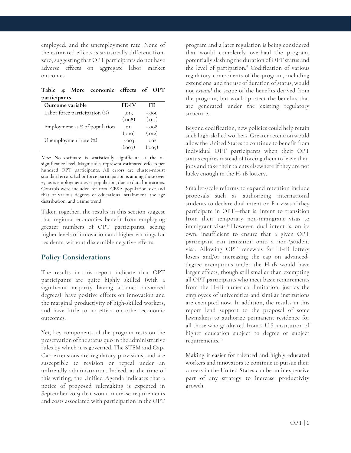employed, and the unemployment rate. None of the estimated effects is statistically different from zero, suggesting that OPT participants do not have adverse effects on aggregate labor market outcomes.

**Table 4: More economic effects of OPT participants**

| Outcome variable              | <b>FE-IV</b>   | FE             |
|-------------------------------|----------------|----------------|
| Labor force participation (%) | .013           | $-.006$        |
|                               | (.008)         | $_{\rm (OII)}$ |
| Employment as % of population | .014           | $-.008$        |
|                               | $_{\rm (OIO)}$ | (0.012)        |
| Unemployment rate (%)         | $-0.003$       | .002           |
|                               | (0.007)        | (0.005)        |

*Note*: No estimate is statistically significant at the 0.1 significance level. Magnitudes represent estimated effects per hundred OPT participants. All errors are cluster-robust standard errors. Labor force participation is among those over 25, as is employment over population, due to data limitations. Controls were included for total CBSA population size and that of various degrees of educational attainment, the age distribution, and a time trend.

Taken together, the results in this section suggest that regional economies benefit from employing greater numbers of OPT participants, seeing higher levels of innovation and higher earnings for residents, without discernible negative effects.

# **Policy Considerations**

The results in this report indicate that OPT participants are quite highly skilled (with a significant majority having attained advanced degrees), have positive effects on innovation and the marginal productivity of high-skilled workers, and have little to no effect on other economic outcomes.

Yet, key components of the program rests on the preservation of the status quo in the administrative rules by which it is governed. The STEM and Cap-Gap extensions are regulatory provisions, and are susceptible to revision or repeal under an unfriendly administration. Indeed, at the time of this writing, the Unified Agenda indicates that a notice of proposed rulemaking is expected in September 2019 that would increase requirements and costs associated with participation in the OPT

program and a later regulation is being considered that would completely overhaul the program, potentially slashing the duration of OPT status and the level of partipation. <sup>8</sup> Codification of various regulatory components of the program, including extensions and the use of duration of status, would not *expand* the scope of the benefits derived from the program, but would protect the benefits that are generated under the existing regulatory structure.

Beyond codification, new policies could help retain such high-skilled workers. Greater retention would allow the United States to continue to benefit from individual OPT participants when their OPT status expires instead of forcing them to leave their jobs and take their talents elsewhere if they are not lucky enough in the H-1B lottery.

Smaller-scale reforms to expand retention include proposals such as authorizing international students to declare dual intent on F-1 visas if they participate in OPT—that is, intent to transition from their temporary non-immigrant visas to immigrant visas.<sup>9</sup> However, dual intent is, on its own, insufficient to ensure that a given OPT participant can transition onto a non-\student visa. Allowing OPT renewals for H-1B lottery losers and/or increasing the cap on advanceddegree exemptions under the H-1B would have larger effects, though still smaller than exempting all OPT participants who meet basic requirements from the H-1B numerical limitation, just as the employees of universities and similar institutions are exempted now. In addition, the results in this report lend support to the proposal of some lawmakers to authorize permanent residence for all those who graduated from a U.S. institution of higher education subject to degree or subject requirements. 10

Making it easier for talented and highly educated workers and innovators to continue to pursue their careers in the United States can be an inexpensive part of any strategy to increase productivity growth.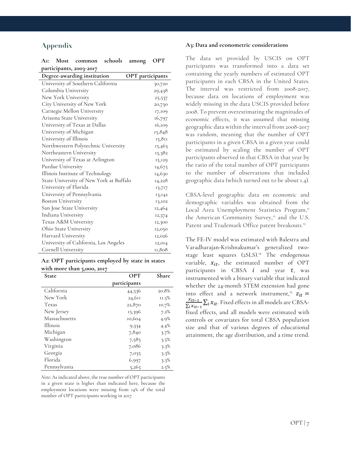# **Appendix**

| participants, 2003-2017                 |                         |
|-----------------------------------------|-------------------------|
| Degree-awarding institution             | <b>OPT</b> participants |
| University of Southern California       | 30,720                  |
| Columbia University                     | 29,438                  |
| New York University                     | 25,537                  |
| City University of New York             | 20,730                  |
| Carnegie Mellon University              | 17,109                  |
| Arizona State University                | 16,797                  |
| University of Texas at Dallas           | 16,109                  |
| University of Michigan                  | 15,848                  |
| University of Illinois                  | 15,811                  |
| Northwestern Polytechnic University     | 15,463                  |
| Northeastern University                 | 15,382                  |
| University of Texas at Arlington        | 15,129                  |
| Purdue University                       | 14,675                  |
| Illinois Institute of Technology        | 14,630                  |
| State University of New York at Buffalo | 14,228                  |
| University of Florida                   | 13,717                  |
| University of Pennsylvania              | 13,142                  |
| <b>Boston University</b>                | 13,102                  |
| San Jose State University               | 12,464                  |
| Indiana University                      | 12,374                  |
| Texas A&M University                    | 12,300                  |
| Ohio State University                   | 12,050                  |
| Harvard University                      | 12,026                  |
| University of California, Los Angeles   | 12,014                  |
| Cornell University                      | 11,808                  |

|                     | AI: Most common schools among OPT  |                  |        |
|---------------------|------------------------------------|------------------|--------|
|                     | participants, 2003-2017            |                  |        |
|                     | <b>Degree-awarding institution</b> | OPT participants |        |
|                     | University of Southern California  |                  | 30,720 |
| Columbia University |                                    |                  | 29,43  |

**A2: OPT participants employed by state in states with more than 5,000, 2017**

| State         | <b>OPT</b>   |          |
|---------------|--------------|----------|
|               | participants |          |
| California    | 44,536       | 20.8%    |
| New York      | 24,611       | $11.5\%$ |
| Texas         | 22,870       | 10.7%    |
| New Jersey    | 15,396       | 7.2%     |
| Massachusetts | 10,604       | 4.9%     |
| Illinois      | 9,334        | 4.4%     |
| Michigan      | 7,840        | 3.7%     |
| Washington    | 7,585        | $3.5\%$  |
| Virginia      | 7,086        | $3.3\%$  |
| Georgia       | 7,035        | $3.3\%$  |
| Florida       | 6,997        | $3.3\%$  |
| Pennsylvania  | 5,265        | 2.5%     |

*Note*: As indicated above, the true number of OPT participants in a given state is higher than indicated here, because the employment locations were missing from 14% of the total number of OPT participants working in 2017

#### **A3: Data and econometric considerations**

The data set provided by USCIS on OPT participants was transformed into a data set containing the yearly numbers of estimated OPT participants in each CBSA in the United States. The interval was restricted from 2008-2017, because data on locations of employment was widely missing in the data USCIS provided before 2008. To prevent overestimating the magnitudes of economic effects, it was assumed that missing geographic data within the interval from 2008-2017 was random, meaning that the number of OPT participants in a given CBSA in a given year could be estimated by scaling the number of OPT participants observed in that CBSA in that year by the ratio of the total number of OPT participants to the number of observations that included geographic data (which turned out to be about 1.4).

CBSA-level geographic data on economic and demographic variables was obtained from the Local Area Unemployment Statistics Program," the American Community Survey, $n^2$  and the U.S. Patent and Trademark Office patent breakouts.<sup>13</sup>

The FE-IV model was estimated with Balestra and Varadharajan-Krishnakumar's generalized twostage least squares (2SLS). <sup>14</sup> The endogenous variable,  $x_{it}$ , the estimated number of OPT participants in CBSA  $i$  and year  $t$ , was instrumented with a binary variable that indicated whether the 24-month STEM extension had gone into effect and a network instrument,<sup>15</sup>  $z_{it} = x_{it-1} - \nabla_x x$ . Fixed effects in all models are CBSA.  $\frac{x_{it-1}}{\sum_i x_{it-1}}\sum_i x_{it}$ . Fixed effects in all models are CBSAfixed effects, and all models were estimated with controls or covariates for total CBSA population size and that of various degrees of educational attainment, the age distribution, and a time trend.